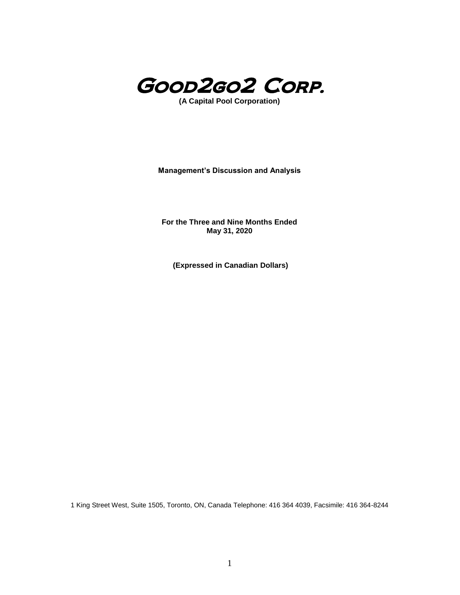

**(A Capital Pool Corporation)**

**Management's Discussion and Analysis**

**For the Three and Nine Months Ended May 31, 2020**

**(Expressed in Canadian Dollars)**

1 King Street West, Suite 1505, Toronto, ON, Canada Telephone: 416 364 4039, Facsimile: 416 364-8244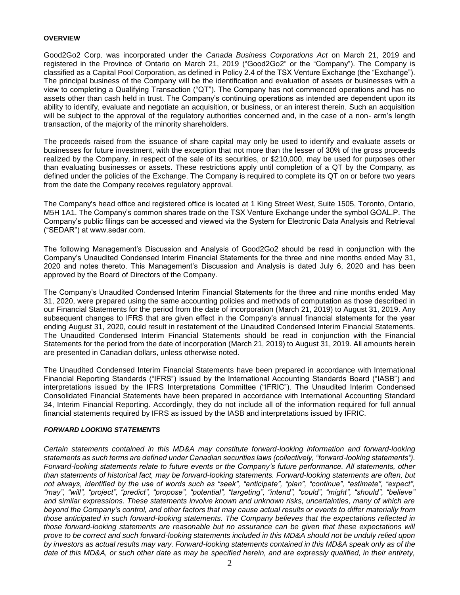#### **OVERVIEW**

Good2Go2 Corp. was incorporated under the *Canada Business Corporations Act* on March 21, 2019 and registered in the Province of Ontario on March 21, 2019 ("Good2Go2" or the "Company"). The Company is classified as a Capital Pool Corporation, as defined in Policy 2.4 of the TSX Venture Exchange (the "Exchange"). The principal business of the Company will be the identification and evaluation of assets or businesses with a view to completing a Qualifying Transaction ("QT"). The Company has not commenced operations and has no assets other than cash held in trust. The Company's continuing operations as intended are dependent upon its ability to identify, evaluate and negotiate an acquisition, or business, or an interest therein. Such an acquisition will be subject to the approval of the regulatory authorities concerned and, in the case of a non- arm's length transaction, of the majority of the minority shareholders.

The proceeds raised from the issuance of share capital may only be used to identify and evaluate assets or businesses for future investment, with the exception that not more than the lesser of 30% of the gross proceeds realized by the Company, in respect of the sale of its securities, or \$210,000, may be used for purposes other than evaluating businesses or assets. These restrictions apply until completion of a QT by the Company, as defined under the policies of the Exchange. The Company is required to complete its QT on or before two years from the date the Company receives regulatory approval.

The Company's head office and registered office is located at 1 King Street West, Suite 1505, Toronto, Ontario, M5H 1A1. The Company's common shares trade on the TSX Venture Exchange under the symbol GOAL.P. The Company's public filings can be accessed and viewed via the System for Electronic Data Analysis and Retrieval ("SEDAR") at www.sedar.com.

The following Management's Discussion and Analysis of Good2Go2 should be read in conjunction with the Company's Unaudited Condensed Interim Financial Statements for the three and nine months ended May 31, 2020 and notes thereto. This Management's Discussion and Analysis is dated July 6, 2020 and has been approved by the Board of Directors of the Company.

The Company's Unaudited Condensed Interim Financial Statements for the three and nine months ended May 31, 2020, were prepared using the same accounting policies and methods of computation as those described in our Financial Statements for the period from the date of incorporation (March 21, 2019) to August 31, 2019. Any subsequent changes to IFRS that are given effect in the Company's annual financial statements for the year ending August 31, 2020, could result in restatement of the Unaudited Condensed Interim Financial Statements. The Unaudited Condensed Interim Financial Statements should be read in conjunction with the Financial Statements for the period from the date of incorporation (March 21, 2019) to August 31, 2019. All amounts herein are presented in Canadian dollars, unless otherwise noted.

The Unaudited Condensed Interim Financial Statements have been prepared in accordance with International Financial Reporting Standards ("IFRS") issued by the International Accounting Standards Board ("IASB") and interpretations issued by the IFRS Interpretations Committee ("IFRIC"). The Unaudited Interim Condensed Consolidated Financial Statements have been prepared in accordance with International Accounting Standard 34, Interim Financial Reporting. Accordingly, they do not include all of the information required for full annual financial statements required by IFRS as issued by the IASB and interpretations issued by IFRIC.

#### *FORWARD LOOKING STATEMENTS*

*Certain statements contained in this MD&A may constitute forward-looking information and forward-looking statements as such terms are defined under Canadian securities laws (collectively, "forward-looking statements"). Forward-looking statements relate to future events or the Company's future performance. All statements, other than statements of historical fact, may be forward-looking statements. Forward-looking statements are often, but not always, identified by the use of words such as "seek", "anticipate", "plan", "continue", "estimate", "expect", "may", "will", "project", "predict", "propose", "potential", "targeting", "intend", "could", "might", "should", "believe" and similar expressions. These statements involve known and unknown risks, uncertainties, many of which are beyond the Company's control, and other factors that may cause actual results or events to differ materially from those anticipated in such forward-looking statements. The Company believes that the expectations reflected in those forward-looking statements are reasonable but no assurance can be given that these expectations will prove to be correct and such forward-looking statements included in this MD&A should not be unduly relied upon by investors as actual results may vary. Forward-looking statements contained in this MD&A speak only as of the*  date of this MD&A, or such other date as may be specified herein, and are expressly qualified, in their entirety,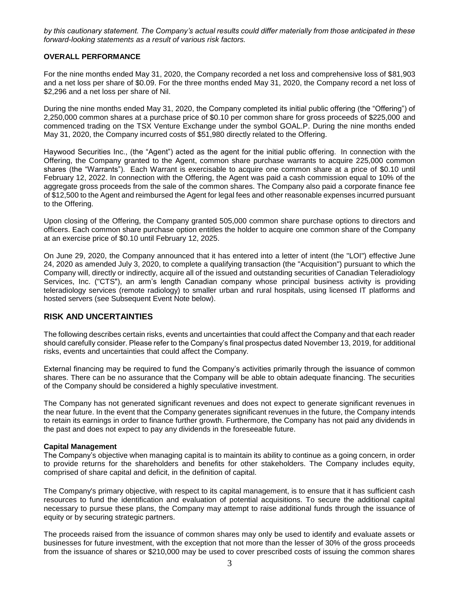*by this cautionary statement. The Company's actual results could differ materially from those anticipated in these forward-looking statements as a result of various risk factors.*

### **OVERALL PERFORMANCE**

For the nine months ended May 31, 2020, the Company recorded a net loss and comprehensive loss of \$81,903 and a net loss per share of \$0.09. For the three months ended May 31, 2020, the Company record a net loss of \$2,296 and a net loss per share of Nil.

During the nine months ended May 31, 2020, the Company completed its initial public offering (the "Offering") of 2,250,000 common shares at a purchase price of \$0.10 per common share for gross proceeds of \$225,000 and commenced trading on the TSX Venture Exchange under the symbol GOAL.P. During the nine months ended May 31, 2020, the Company incurred costs of \$51,980 directly related to the Offering.

Haywood Securities Inc., (the "Agent") acted as the agent for the initial public offering. In connection with the Offering, the Company granted to the Agent, common share purchase warrants to acquire 225,000 common shares (the "Warrants"). Each Warrant is exercisable to acquire one common share at a price of \$0.10 until February 12, 2022. In connection with the Offering, the Agent was paid a cash commission equal to 10% of the aggregate gross proceeds from the sale of the common shares. The Company also paid a corporate finance fee of \$12,500 to the Agent and reimbursed the Agent for legal fees and other reasonable expenses incurred pursuant to the Offering.

Upon closing of the Offering, the Company granted 505,000 common share purchase options to directors and officers. Each common share purchase option entitles the holder to acquire one common share of the Company at an exercise price of \$0.10 until February 12, 2025.

On June 29, 2020, the Company announced that it has entered into a letter of intent (the "LOI") effective June 24, 2020 as amended July 3, 2020, to complete a qualifying transaction (the "Acquisition") pursuant to which the Company will, directly or indirectly, acquire all of the issued and outstanding securities of Canadian Teleradiology Services, Inc. ("CTS"), an arm's length Canadian company whose principal business activity is providing teleradiology services (remote radiology) to smaller urban and rural hospitals, using licensed IT platforms and hosted servers (see Subsequent Event Note below).

# **RISK AND UNCERTAINTIES**

The following describes certain risks, events and uncertainties that could affect the Company and that each reader should carefully consider. Please refer to the Company's final prospectus dated November 13, 2019, for additional risks, events and uncertainties that could affect the Company.

External financing may be required to fund the Company's activities primarily through the issuance of common shares. There can be no assurance that the Company will be able to obtain adequate financing. The securities of the Company should be considered a highly speculative investment.

The Company has not generated significant revenues and does not expect to generate significant revenues in the near future. In the event that the Company generates significant revenues in the future, the Company intends to retain its earnings in order to finance further growth. Furthermore, the Company has not paid any dividends in the past and does not expect to pay any dividends in the foreseeable future.

#### **Capital Management**

The Company's objective when managing capital is to maintain its ability to continue as a going concern, in order to provide returns for the shareholders and benefits for other stakeholders. The Company includes equity, comprised of share capital and deficit, in the definition of capital.

The Company's primary objective, with respect to its capital management, is to ensure that it has sufficient cash resources to fund the identification and evaluation of potential acquisitions. To secure the additional capital necessary to pursue these plans, the Company may attempt to raise additional funds through the issuance of equity or by securing strategic partners.

The proceeds raised from the issuance of common shares may only be used to identify and evaluate assets or businesses for future investment, with the exception that not more than the lesser of 30% of the gross proceeds from the issuance of shares or \$210,000 may be used to cover prescribed costs of issuing the common shares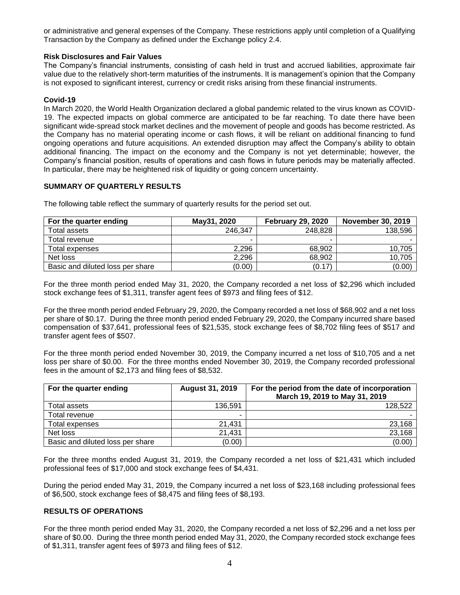or administrative and general expenses of the Company. These restrictions apply until completion of a Qualifying Transaction by the Company as defined under the Exchange policy 2.4.

## **Risk Disclosures and Fair Values**

The Company's financial instruments, consisting of cash held in trust and accrued liabilities, approximate fair value due to the relatively short-term maturities of the instruments. It is management's opinion that the Company is not exposed to significant interest, currency or credit risks arising from these financial instruments.

### **Covid-19**

In March 2020, the World Health Organization declared a global pandemic related to the virus known as COVID-19. The expected impacts on global commerce are anticipated to be far reaching. To date there have been significant wide-spread stock market declines and the movement of people and goods has become restricted. As the Company has no material operating income or cash flows, it will be reliant on additional financing to fund ongoing operations and future acquisitions. An extended disruption may affect the Company's ability to obtain additional financing. The impact on the economy and the Company is not yet determinable; however, the Company's financial position, results of operations and cash flows in future periods may be materially affected. In particular, there may be heightened risk of liquidity or going concern uncertainty.

### **SUMMARY OF QUARTERLY RESULTS**

The following table reflect the summary of quarterly results for the period set out.

| For the quarter ending           | May31, 2020 | <b>February 29, 2020</b> | <b>November 30, 2019</b> |  |
|----------------------------------|-------------|--------------------------|--------------------------|--|
| Total assets                     | 246,347     | 248,828                  | 138,596                  |  |
| Total revenue                    |             |                          |                          |  |
| Total expenses                   | 2,296       | 68,902                   | 10.705                   |  |
| Net loss                         | 2,296       | 68,902                   | 10,705                   |  |
| Basic and diluted loss per share | (0.00)      | (0.17)                   | (0.00)                   |  |

For the three month period ended May 31, 2020, the Company recorded a net loss of \$2,296 which included stock exchange fees of \$1,311, transfer agent fees of \$973 and filing fees of \$12.

For the three month period ended February 29, 2020, the Company recorded a net loss of \$68,902 and a net loss per share of \$0.17. During the three month period ended February 29, 2020, the Company incurred share based compensation of \$37,641, professional fees of \$21,535, stock exchange fees of \$8,702 filing fees of \$517 and transfer agent fees of \$507.

For the three month period ended November 30, 2019, the Company incurred a net loss of \$10,705 and a net loss per share of \$0.00. For the three months ended November 30, 2019, the Company recorded professional fees in the amount of \$2,173 and filing fees of \$8,532.

| For the quarter ending           | <b>August 31, 2019</b> | For the period from the date of incorporation<br>March 19, 2019 to May 31, 2019 |
|----------------------------------|------------------------|---------------------------------------------------------------------------------|
| Total assets                     | 136.591                | 128,522                                                                         |
| Total revenue                    |                        |                                                                                 |
| Total expenses                   | 21.431                 | 23,168                                                                          |
| Net loss                         | 21,431                 | 23,168                                                                          |
| Basic and diluted loss per share | (0.00)                 | (0.00)                                                                          |

For the three months ended August 31, 2019, the Company recorded a net loss of \$21,431 which included professional fees of \$17,000 and stock exchange fees of \$4,431.

During the period ended May 31, 2019, the Company incurred a net loss of \$23,168 including professional fees of \$6,500, stock exchange fees of \$8,475 and filing fees of \$8,193.

#### **RESULTS OF OPERATIONS**

For the three month period ended May 31, 2020, the Company recorded a net loss of \$2,296 and a net loss per share of \$0.00. During the three month period ended May 31, 2020, the Company recorded stock exchange fees of \$1,311, transfer agent fees of \$973 and filing fees of \$12.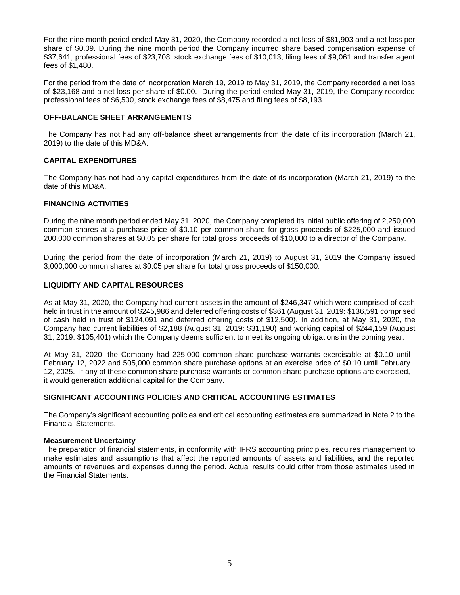For the nine month period ended May 31, 2020, the Company recorded a net loss of \$81,903 and a net loss per share of \$0.09. During the nine month period the Company incurred share based compensation expense of \$37,641, professional fees of \$23,708, stock exchange fees of \$10,013, filing fees of \$9,061 and transfer agent fees of \$1,480.

For the period from the date of incorporation March 19, 2019 to May 31, 2019, the Company recorded a net loss of \$23,168 and a net loss per share of \$0.00. During the period ended May 31, 2019, the Company recorded professional fees of \$6,500, stock exchange fees of \$8,475 and filing fees of \$8,193.

## **OFF-BALANCE SHEET ARRANGEMENTS**

The Company has not had any off-balance sheet arrangements from the date of its incorporation (March 21, 2019) to the date of this MD&A.

### **CAPITAL EXPENDITURES**

The Company has not had any capital expenditures from the date of its incorporation (March 21, 2019) to the date of this MD&A.

## **FINANCING ACTIVITIES**

During the nine month period ended May 31, 2020, the Company completed its initial public offering of 2,250,000 common shares at a purchase price of \$0.10 per common share for gross proceeds of \$225,000 and issued 200,000 common shares at \$0.05 per share for total gross proceeds of \$10,000 to a director of the Company.

During the period from the date of incorporation (March 21, 2019) to August 31, 2019 the Company issued 3,000,000 common shares at \$0.05 per share for total gross proceeds of \$150,000.

### **LIQUIDITY AND CAPITAL RESOURCES**

As at May 31, 2020, the Company had current assets in the amount of \$246,347 which were comprised of cash held in trust in the amount of \$245,986 and deferred offering costs of \$361 (August 31, 2019: \$136,591 comprised of cash held in trust of \$124,091 and deferred offering costs of \$12,500). In addition, at May 31, 2020, the Company had current liabilities of \$2,188 (August 31, 2019: \$31,190) and working capital of \$244,159 (August 31, 2019: \$105,401) which the Company deems sufficient to meet its ongoing obligations in the coming year.

At May 31, 2020, the Company had 225,000 common share purchase warrants exercisable at \$0.10 until February 12, 2022 and 505,000 common share purchase options at an exercise price of \$0.10 until February 12, 2025. If any of these common share purchase warrants or common share purchase options are exercised, it would generation additional capital for the Company.

# **SIGNIFICANT ACCOUNTING POLICIES AND CRITICAL ACCOUNTING ESTIMATES**

The Company's significant accounting policies and critical accounting estimates are summarized in Note 2 to the Financial Statements.

#### **Measurement Uncertainty**

The preparation of financial statements, in conformity with IFRS accounting principles, requires management to make estimates and assumptions that affect the reported amounts of assets and liabilities, and the reported amounts of revenues and expenses during the period. Actual results could differ from those estimates used in the Financial Statements.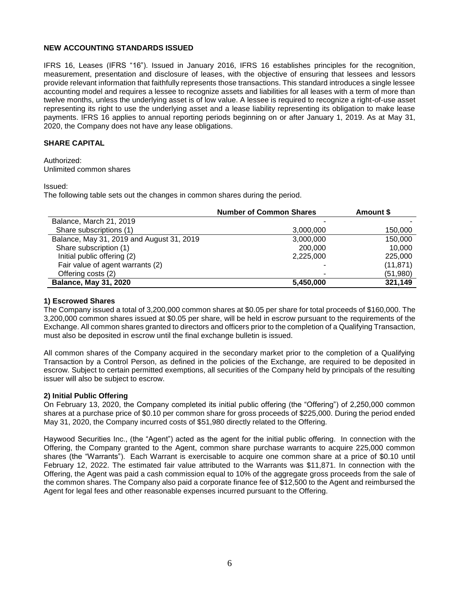### **NEW ACCOUNTING STANDARDS ISSUED**

IFRS 16, Leases (IFRS "16"). Issued in January 2016, IFRS 16 establishes principles for the recognition, measurement, presentation and disclosure of leases, with the objective of ensuring that lessees and lessors provide relevant information that faithfully represents those transactions. This standard introduces a single lessee accounting model and requires a lessee to recognize assets and liabilities for all leases with a term of more than twelve months, unless the underlying asset is of low value. A lessee is required to recognize a right-of-use asset representing its right to use the underlying asset and a lease liability representing its obligation to make lease payments. IFRS 16 applies to annual reporting periods beginning on or after January 1, 2019. As at May 31, 2020, the Company does not have any lease obligations.

# **SHARE CAPITAL**

Authorized: Unlimited common shares

Issued:

The following table sets out the changes in common shares during the period.

|                                           | <b>Number of Common Shares</b> | Amount \$ |
|-------------------------------------------|--------------------------------|-----------|
| Balance, March 21, 2019                   |                                |           |
| Share subscriptions (1)                   | 3,000,000                      | 150,000   |
| Balance, May 31, 2019 and August 31, 2019 | 3,000,000                      | 150,000   |
| Share subscription (1)                    | 200,000                        | 10,000    |
| Initial public offering (2)               | 2,225,000                      | 225,000   |
| Fair value of agent warrants (2)          |                                | (11, 871) |
| Offering costs (2)                        |                                | (51, 980) |
| <b>Balance, May 31, 2020</b>              | 5,450,000                      | 321,149   |

#### **1) Escrowed Shares**

The Company issued a total of 3,200,000 common shares at \$0.05 per share for total proceeds of \$160,000. The 3,200,000 common shares issued at \$0.05 per share, will be held in escrow pursuant to the requirements of the Exchange. All common shares granted to directors and officers prior to the completion of a Qualifying Transaction, must also be deposited in escrow until the final exchange bulletin is issued.

All common shares of the Company acquired in the secondary market prior to the completion of a Qualifying Transaction by a Control Person, as defined in the policies of the Exchange, are required to be deposited in escrow. Subject to certain permitted exemptions, all securities of the Company held by principals of the resulting issuer will also be subject to escrow.

#### **2) Initial Public Offering**

On February 13, 2020, the Company completed its initial public offering (the "Offering") of 2,250,000 common shares at a purchase price of \$0.10 per common share for gross proceeds of \$225,000. During the period ended May 31, 2020, the Company incurred costs of \$51,980 directly related to the Offering.

Haywood Securities Inc., (the "Agent") acted as the agent for the initial public offering. In connection with the Offering, the Company granted to the Agent, common share purchase warrants to acquire 225,000 common shares (the "Warrants"). Each Warrant is exercisable to acquire one common share at a price of \$0.10 until February 12, 2022. The estimated fair value attributed to the Warrants was \$11,871. In connection with the Offering, the Agent was paid a cash commission equal to 10% of the aggregate gross proceeds from the sale of the common shares. The Company also paid a corporate finance fee of \$12,500 to the Agent and reimbursed the Agent for legal fees and other reasonable expenses incurred pursuant to the Offering.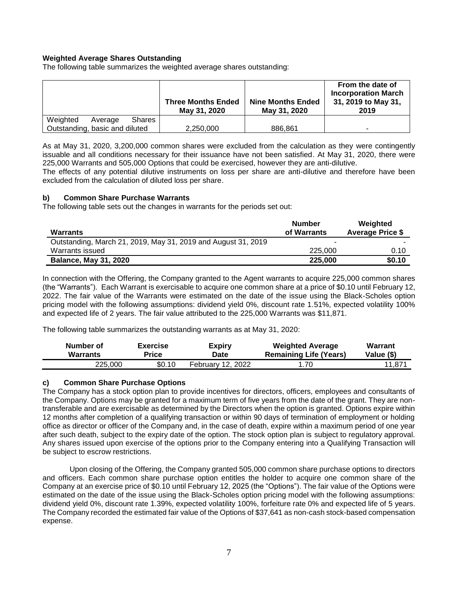# **Weighted Average Shares Outstanding**

The following table summarizes the weighted average shares outstanding:

|                                      | <b>Three Months Ended</b><br>May 31, 2020 | <b>Nine Months Ended</b><br>May 31, 2020 | From the date of<br><b>Incorporation March</b><br>31, 2019 to May 31,<br>2019 |
|--------------------------------------|-------------------------------------------|------------------------------------------|-------------------------------------------------------------------------------|
| Weighted<br><b>Shares</b><br>Average |                                           |                                          |                                                                               |
| Outstanding, basic and diluted       | 2,250,000                                 | 886.861                                  | -                                                                             |

As at May 31, 2020, 3,200,000 common shares were excluded from the calculation as they were contingently issuable and all conditions necessary for their issuance have not been satisfied. At May 31, 2020, there were 225,000 Warrants and 505,000 Options that could be exercised, however they are anti-dilutive.

The effects of any potential dilutive instruments on loss per share are anti-dilutive and therefore have been excluded from the calculation of diluted loss per share.

#### **b) Common Share Purchase Warrants**

The following table sets out the changes in warrants for the periods set out:

| <b>Warrants</b>                                               | <b>Number</b><br>of Warrants | Weighted<br><b>Average Price \$</b> |
|---------------------------------------------------------------|------------------------------|-------------------------------------|
| Outstanding, March 21, 2019, May 31, 2019 and August 31, 2019 | -                            |                                     |
| Warrants issued                                               | 225,000                      | 0.10                                |
| <b>Balance, May 31, 2020</b>                                  | 225,000                      | \$0.10                              |

In connection with the Offering, the Company granted to the Agent warrants to acquire 225,000 common shares (the "Warrants"). Each Warrant is exercisable to acquire one common share at a price of \$0.10 until February 12, 2022. The fair value of the Warrants were estimated on the date of the issue using the Black-Scholes option pricing model with the following assumptions: dividend yield 0%, discount rate 1.51%, expected volatility 100% and expected life of 2 years. The fair value attributed to the 225,000 Warrants was \$11,871.

The following table summarizes the outstanding warrants as at May 31, 2020:

| Number of       | <b>Exercise</b> | <b>Expiry</b>     | <b>Weighted Average</b>       | <b>Warrant</b> |
|-----------------|-----------------|-------------------|-------------------------------|----------------|
| <b>Warrants</b> | Price           | Date              | <b>Remaining Life (Years)</b> | Value (\$)     |
| 225,000         | \$0.10          | February 12, 2022 | 1.70                          | 11.871         |

#### **c) Common Share Purchase Options**

The Company has a stock option plan to provide incentives for directors, officers, employees and consultants of the Company. Options may be granted for a maximum term of five years from the date of the grant. They are nontransferable and are exercisable as determined by the Directors when the option is granted. Options expire within 12 months after completion of a qualifying transaction or within 90 days of termination of employment or holding office as director or officer of the Company and, in the case of death, expire within a maximum period of one year after such death, subject to the expiry date of the option. The stock option plan is subject to regulatory approval. Any shares issued upon exercise of the options prior to the Company entering into a Qualifying Transaction will be subject to escrow restrictions.

Upon closing of the Offering, the Company granted 505,000 common share purchase options to directors and officers. Each common share purchase option entitles the holder to acquire one common share of the Company at an exercise price of \$0.10 until February 12, 2025 (the "Options"). The fair value of the Options were estimated on the date of the issue using the Black-Scholes option pricing model with the following assumptions: dividend yield 0%, discount rate 1.39%, expected volatility 100%, forfeiture rate 0% and expected life of 5 years. The Company recorded the estimated fair value of the Options of \$37,641 as non-cash stock-based compensation expense.